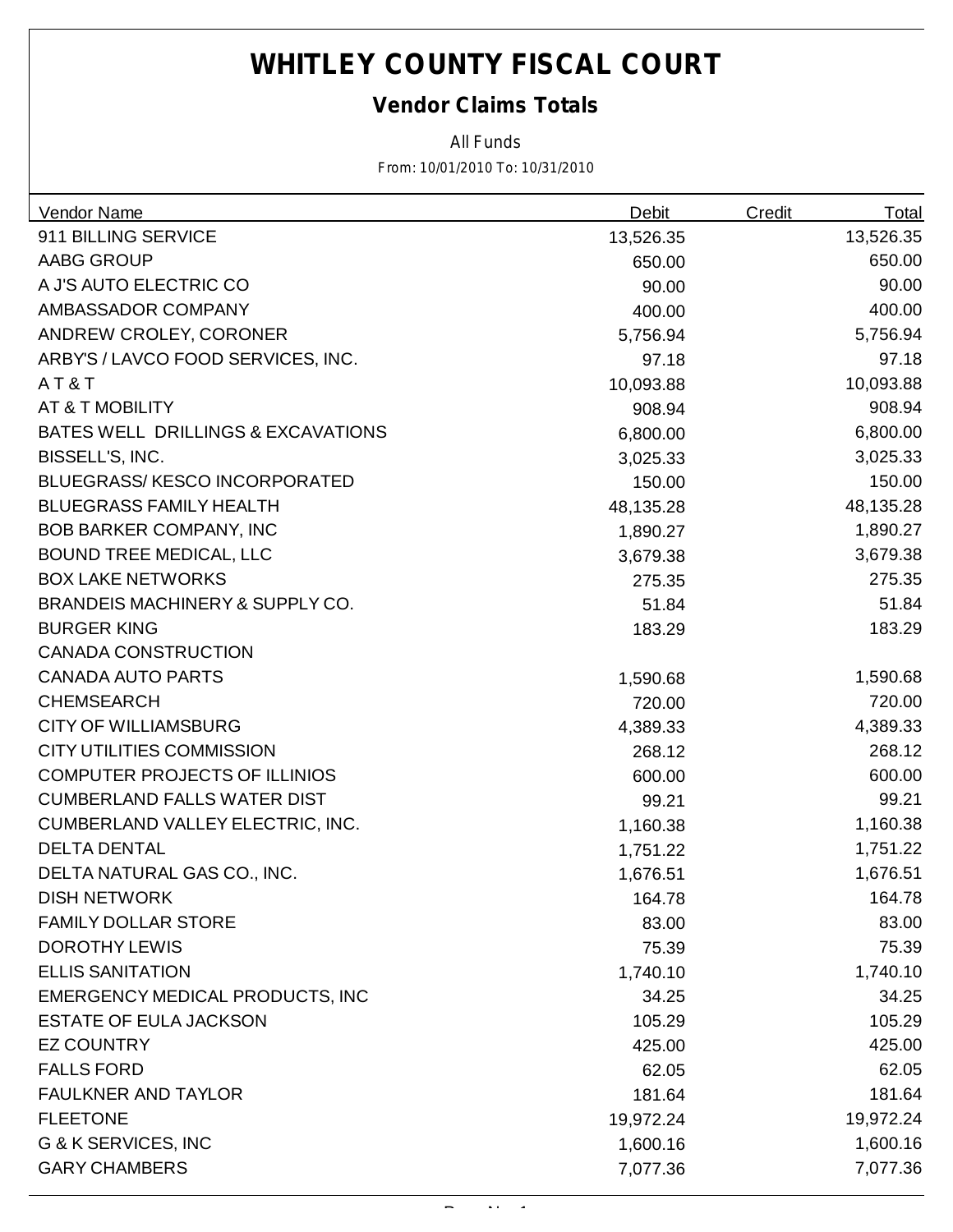### *Vendor Claims Totals*

*All Funds*

| Vendor Name                          | Debit     | <b>Credit</b> | <b>Total</b> |
|--------------------------------------|-----------|---------------|--------------|
| 911 BILLING SERVICE                  | 13,526.35 |               | 13,526.35    |
| <b>AABG GROUP</b>                    | 650.00    |               | 650.00       |
| A J'S AUTO ELECTRIC CO               | 90.00     |               | 90.00        |
| AMBASSADOR COMPANY                   | 400.00    |               | 400.00       |
| ANDREW CROLEY, CORONER               | 5,756.94  |               | 5,756.94     |
| ARBY'S / LAVCO FOOD SERVICES, INC.   | 97.18     |               | 97.18        |
| AT&T                                 | 10,093.88 |               | 10,093.88    |
| AT & T MOBILITY                      | 908.94    |               | 908.94       |
| BATES WELL DRILLINGS & EXCAVATIONS   | 6,800.00  |               | 6,800.00     |
| BISSELL'S, INC.                      | 3,025.33  |               | 3,025.33     |
| <b>BLUEGRASS/KESCO INCORPORATED</b>  | 150.00    |               | 150.00       |
| <b>BLUEGRASS FAMILY HEALTH</b>       | 48,135.28 |               | 48,135.28    |
| <b>BOB BARKER COMPANY, INC</b>       | 1,890.27  |               | 1,890.27     |
| <b>BOUND TREE MEDICAL, LLC</b>       | 3,679.38  |               | 3,679.38     |
| <b>BOX LAKE NETWORKS</b>             | 275.35    |               | 275.35       |
| BRANDEIS MACHINERY & SUPPLY CO.      | 51.84     |               | 51.84        |
| <b>BURGER KING</b>                   | 183.29    |               | 183.29       |
| <b>CANADA CONSTRUCTION</b>           |           |               |              |
| <b>CANADA AUTO PARTS</b>             | 1,590.68  |               | 1,590.68     |
| <b>CHEMSEARCH</b>                    | 720.00    |               | 720.00       |
| <b>CITY OF WILLIAMSBURG</b>          | 4,389.33  |               | 4,389.33     |
| <b>CITY UTILITIES COMMISSION</b>     | 268.12    |               | 268.12       |
| <b>COMPUTER PROJECTS OF ILLINIOS</b> | 600.00    |               | 600.00       |
| <b>CUMBERLAND FALLS WATER DIST</b>   | 99.21     |               | 99.21        |
| CUMBERLAND VALLEY ELECTRIC, INC.     | 1,160.38  |               | 1,160.38     |
| <b>DELTA DENTAL</b>                  | 1,751.22  |               | 1,751.22     |
| DELTA NATURAL GAS CO., INC.          | 1,676.51  |               | 1,676.51     |
| <b>DISH NETWORK</b>                  | 164.78    |               | 164.78       |
| <b>FAMILY DOLLAR STORE</b>           | 83.00     |               | 83.00        |
| <b>DOROTHY LEWIS</b>                 | 75.39     |               | 75.39        |
| <b>ELLIS SANITATION</b>              | 1,740.10  |               | 1,740.10     |
| EMERGENCY MEDICAL PRODUCTS, INC      | 34.25     |               | 34.25        |
| <b>ESTATE OF EULA JACKSON</b>        | 105.29    |               | 105.29       |
| <b>EZ COUNTRY</b>                    | 425.00    |               | 425.00       |
| <b>FALLS FORD</b>                    | 62.05     |               | 62.05        |
| <b>FAULKNER AND TAYLOR</b>           | 181.64    |               | 181.64       |
| <b>FLEETONE</b>                      | 19,972.24 |               | 19,972.24    |
| G & K SERVICES, INC                  | 1,600.16  |               | 1,600.16     |
| <b>GARY CHAMBERS</b>                 | 7,077.36  |               | 7,077.36     |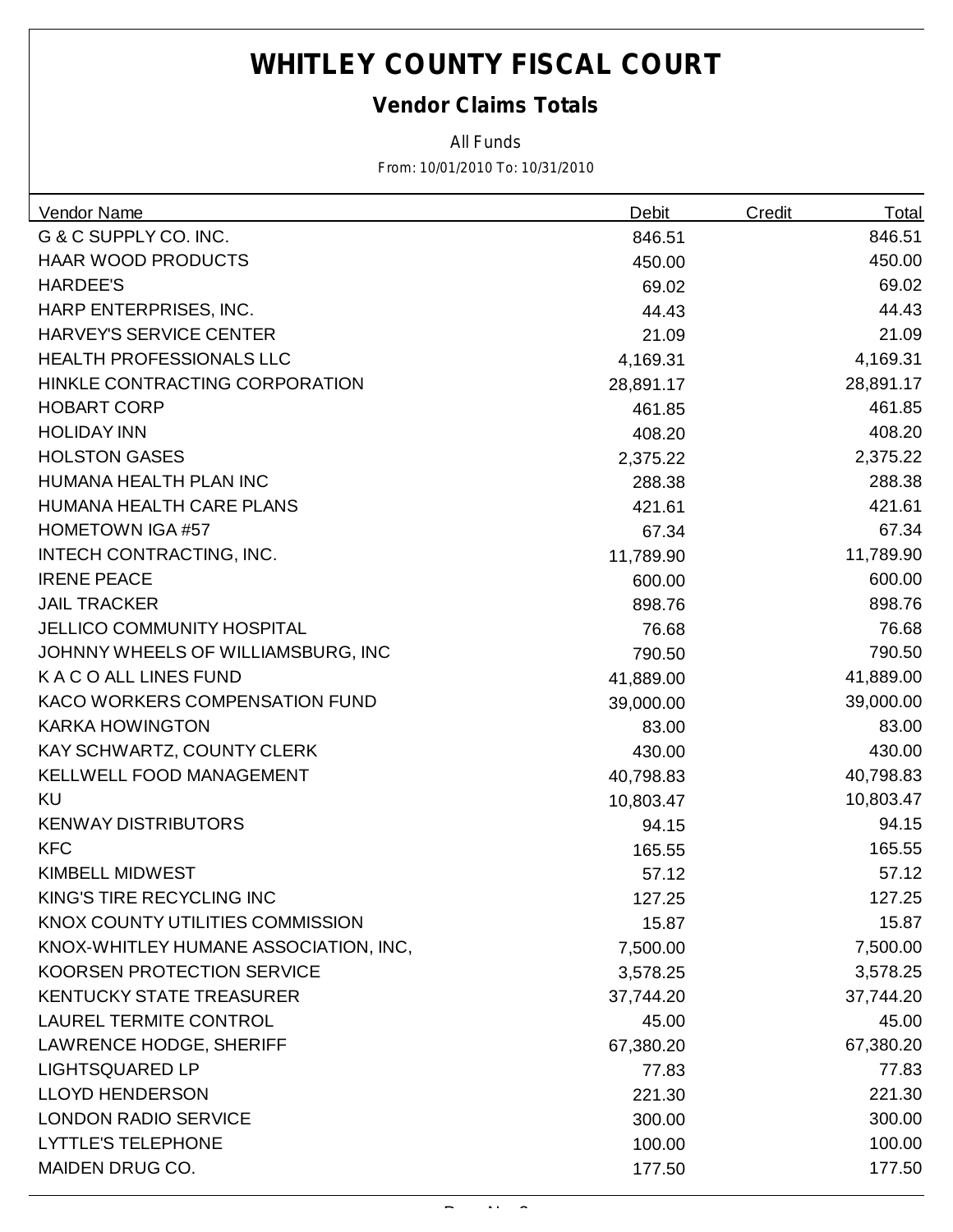### *Vendor Claims Totals*

*All Funds*

| Vendor Name                           | <b>Debit</b> | <b>Credit</b> | <u>Total</u> |
|---------------------------------------|--------------|---------------|--------------|
| G & C SUPPLY CO. INC.                 | 846.51       |               | 846.51       |
| HAAR WOOD PRODUCTS                    | 450.00       |               | 450.00       |
| <b>HARDEE'S</b>                       | 69.02        |               | 69.02        |
| HARP ENTERPRISES, INC.                | 44.43        |               | 44.43        |
| <b>HARVEY'S SERVICE CENTER</b>        | 21.09        |               | 21.09        |
| <b>HEALTH PROFESSIONALS LLC</b>       | 4,169.31     |               | 4,169.31     |
| HINKLE CONTRACTING CORPORATION        | 28,891.17    |               | 28,891.17    |
| <b>HOBART CORP</b>                    | 461.85       |               | 461.85       |
| <b>HOLIDAY INN</b>                    | 408.20       |               | 408.20       |
| <b>HOLSTON GASES</b>                  | 2,375.22     |               | 2,375.22     |
| HUMANA HEALTH PLAN INC                | 288.38       |               | 288.38       |
| HUMANA HEALTH CARE PLANS              | 421.61       |               | 421.61       |
| <b>HOMETOWN IGA #57</b>               | 67.34        |               | 67.34        |
| INTECH CONTRACTING, INC.              | 11,789.90    |               | 11,789.90    |
| <b>IRENE PEACE</b>                    | 600.00       |               | 600.00       |
| <b>JAIL TRACKER</b>                   | 898.76       |               | 898.76       |
| <b>JELLICO COMMUNITY HOSPITAL</b>     | 76.68        |               | 76.68        |
| JOHNNY WHEELS OF WILLIAMSBURG, INC    | 790.50       |               | 790.50       |
| K A C O ALL LINES FUND                | 41,889.00    |               | 41,889.00    |
| KACO WORKERS COMPENSATION FUND        | 39,000.00    |               | 39,000.00    |
| <b>KARKA HOWINGTON</b>                | 83.00        |               | 83.00        |
| KAY SCHWARTZ, COUNTY CLERK            | 430.00       |               | 430.00       |
| <b>KELLWELL FOOD MANAGEMENT</b>       | 40,798.83    |               | 40,798.83    |
| <b>KU</b>                             | 10,803.47    |               | 10,803.47    |
| <b>KENWAY DISTRIBUTORS</b>            | 94.15        |               | 94.15        |
| <b>KFC</b>                            | 165.55       |               | 165.55       |
| <b>KIMBELL MIDWEST</b>                | 57.12        |               | 57.12        |
| KING'S TIRE RECYCLING INC             | 127.25       |               | 127.25       |
| KNOX COUNTY UTILITIES COMMISSION      | 15.87        |               | 15.87        |
| KNOX-WHITLEY HUMANE ASSOCIATION, INC, | 7,500.00     |               | 7,500.00     |
| KOORSEN PROTECTION SERVICE            | 3,578.25     |               | 3,578.25     |
| <b>KENTUCKY STATE TREASURER</b>       | 37,744.20    |               | 37,744.20    |
| <b>LAUREL TERMITE CONTROL</b>         | 45.00        |               | 45.00        |
| <b>LAWRENCE HODGE, SHERIFF</b>        | 67,380.20    |               | 67,380.20    |
| <b>LIGHTSQUARED LP</b>                | 77.83        |               | 77.83        |
| <b>LLOYD HENDERSON</b>                | 221.30       |               | 221.30       |
| <b>LONDON RADIO SERVICE</b>           | 300.00       |               | 300.00       |
| <b>LYTTLE'S TELEPHONE</b>             | 100.00       |               | 100.00       |
| MAIDEN DRUG CO.                       | 177.50       |               | 177.50       |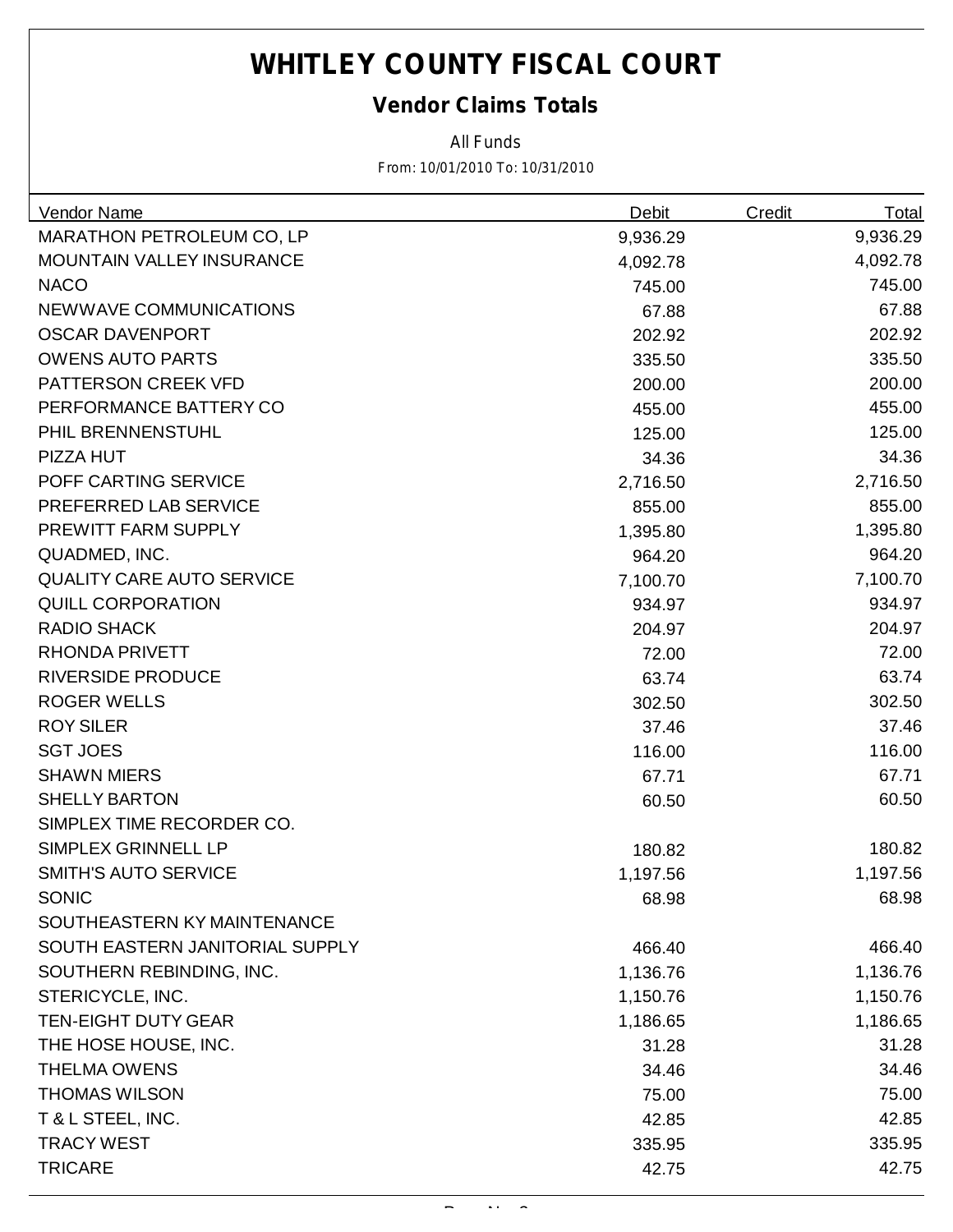### *Vendor Claims Totals*

*All Funds*

| <b>Vendor Name</b>               | <b>Debit</b> | Credit | <b>Total</b> |
|----------------------------------|--------------|--------|--------------|
| <b>MARATHON PETROLEUM CO, LP</b> | 9,936.29     |        | 9,936.29     |
| MOUNTAIN VALLEY INSURANCE        | 4,092.78     |        | 4,092.78     |
| <b>NACO</b>                      | 745.00       |        | 745.00       |
| <b>NEWWAVE COMMUNICATIONS</b>    | 67.88        |        | 67.88        |
| <b>OSCAR DAVENPORT</b>           | 202.92       |        | 202.92       |
| <b>OWENS AUTO PARTS</b>          | 335.50       |        | 335.50       |
| PATTERSON CREEK VFD              | 200.00       |        | 200.00       |
| PERFORMANCE BATTERY CO           | 455.00       |        | 455.00       |
| PHIL BRENNENSTUHL                | 125.00       |        | 125.00       |
| PIZZA HUT                        | 34.36        |        | 34.36        |
| POFF CARTING SERVICE             | 2,716.50     |        | 2,716.50     |
| PREFERRED LAB SERVICE            | 855.00       |        | 855.00       |
| PREWITT FARM SUPPLY              | 1,395.80     |        | 1,395.80     |
| QUADMED, INC.                    | 964.20       |        | 964.20       |
| <b>QUALITY CARE AUTO SERVICE</b> | 7,100.70     |        | 7,100.70     |
| <b>QUILL CORPORATION</b>         | 934.97       |        | 934.97       |
| <b>RADIO SHACK</b>               | 204.97       |        | 204.97       |
| <b>RHONDA PRIVETT</b>            | 72.00        |        | 72.00        |
| <b>RIVERSIDE PRODUCE</b>         | 63.74        |        | 63.74        |
| <b>ROGER WELLS</b>               | 302.50       |        | 302.50       |
| <b>ROY SILER</b>                 | 37.46        |        | 37.46        |
| <b>SGT JOES</b>                  | 116.00       |        | 116.00       |
| <b>SHAWN MIERS</b>               | 67.71        |        | 67.71        |
| <b>SHELLY BARTON</b>             | 60.50        |        | 60.50        |
| SIMPLEX TIME RECORDER CO.        |              |        |              |
| SIMPLEX GRINNELL LP              | 180.82       |        | 180.82       |
| <b>SMITH'S AUTO SERVICE</b>      | 1,197.56     |        | 1,197.56     |
| <b>SONIC</b>                     | 68.98        |        | 68.98        |
| SOUTHEASTERN KY MAINTENANCE      |              |        |              |
| SOUTH EASTERN JANITORIAL SUPPLY  | 466.40       |        | 466.40       |
| SOUTHERN REBINDING, INC.         | 1,136.76     |        | 1,136.76     |
| STERICYCLE, INC.                 | 1,150.76     |        | 1,150.76     |
| <b>TEN-EIGHT DUTY GEAR</b>       | 1,186.65     |        | 1,186.65     |
| THE HOSE HOUSE, INC.             | 31.28        |        | 31.28        |
| <b>THELMA OWENS</b>              | 34.46        |        | 34.46        |
| <b>THOMAS WILSON</b>             | 75.00        |        | 75.00        |
| T & L STEEL, INC.                | 42.85        |        | 42.85        |
| <b>TRACY WEST</b>                | 335.95       |        | 335.95       |
| <b>TRICARE</b>                   | 42.75        |        | 42.75        |